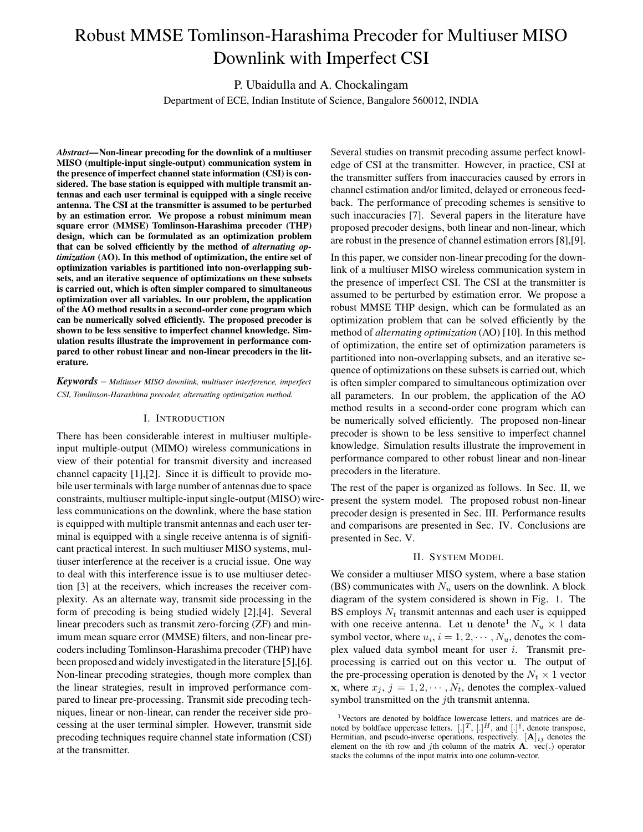# Robust MMSE Tomlinson-Harashima Precoder for Multiuser MISO Downlink with Imperfect CSI

P. Ubaidulla and A. Chockalingam

Department of ECE, Indian Institute of Science, Bangalore 560012, INDIA

*Abstract***—Non-linear precoding for the downlink of a multiuser MISO (multiple-input single-output) communication system in the presence of imperfect channel state information (CSI) is considered. The base station is equipped with multiple transmit antennas and each user terminal is equipped with a single receive antenna. The CSI at the transmitter is assumed to be perturbed by an estimation error. We propose a robust minimum mean square error (MMSE) Tomlinson-Harashima precoder (THP) design, which can be formulated as an optimization problem that can be solved efficiently by the method of** *alternating optimization* **(AO). In this method of optimization, the entire set of optimization variables is partitioned into non-overlapping subsets, and an iterative sequence of optimizations on these subsets is carried out, which is often simpler compared to simultaneous optimization over all variables. In our problem, the application of the AO method results in a second-order cone program which can be numerically solved efficiently. The proposed precoder is shown to be less sensitive to imperfect channel knowledge. Simulation results illustrate the improvement in performance compared to other robust linear and non-linear precoders in the literature.**

*Keywords* – *Multiuser MISO downlink, multiuser interference, imperfect CSI, Tomlinson-Harashima precoder, alternating optimization method.*

## I. INTRODUCTION

There has been considerable interest in multiuser multipleinput multiple-output (MIMO) wireless communications in view of their potential for transmit diversity and increased channel capacity [1],[2]. Since it is difficult to provide mobile user terminals with large number of antennas due to space constraints, multiuser multiple-inputsingle-output(MISO) wireless communications on the downlink, where the base station is equipped with multiple transmit antennas and each user terminal is equipped with a single receive antenna is of significant practical interest. In such multiuser MISO systems, multiuser interference at the receiver is a crucial issue. One way to deal with this interference issue is to use multiuser detection [3] at the receivers, which increases the receiver complexity. As an alternate way, transmit side processing in the form of precoding is being studied widely [2],[4]. Several linear precoders such as transmit zero-forcing (ZF) and minimum mean square error (MMSE) filters, and non-linear precoders including Tomlinson-Harashima precoder (THP) have been proposed and widely investigated in the literature [5],[6]. Non-linear precoding strategies, though more complex than the linear strategies, result in improved performance compared to linear pre-processing. Transmit side precoding techniques, linear or non-linear, can render the receiver side processing at the user terminal simpler. However, transmit side precoding techniques require channel state information (CSI) at the transmitter.

Several studies on transmit precoding assume perfect knowledge of CSI at the transmitter. However, in practice, CSI at the transmitter suffers from inaccuracies caused by errors in channel estimation and/or limited, delayed or erroneous feedback. The performance of precoding schemes is sensitive to such inaccuracies [7]. Several papers in the literature have proposed precoder designs, both linear and non-linear, which are robust in the presence of channel estimation errors [8],[9].

In this paper, we consider non-linear precoding for the downlink of a multiuser MISO wireless communication system in the presence of imperfect CSI. The CSI at the transmitter is assumed to be perturbed by estimation error. We propose a robust MMSE THP design, which can be formulated as an optimization problem that can be solved efficiently by the method of *alternating optimization* (AO) [10]. In this method of optimization, the entire set of optimization parameters is partitioned into non-overlapping subsets, and an iterative sequence of optimizations on these subsets is carried out, which is often simpler compared to simultaneous optimization over all parameters. In our problem, the application of the AO method results in a second-order cone program which can be numerically solved efficiently. The proposed non-linear precoder is shown to be less sensitive to imperfect channel knowledge. Simulation results illustrate the improvement in performance compared to other robust linear and non-linear precoders in the literature.

The rest of the paper is organized as follows. In Sec. II, we present the system model. The proposed robust non-linear precoder design is presented in Sec. III. Performance results and comparisons are presented in Sec. IV. Conclusions are presented in Sec. V.

#### II. SYSTEM MODEL

We consider a multiuser MISO system, where a base station (BS) communicates with  $N_u$  users on the downlink. A block diagram of the system considered is shown in Fig. 1. The BS employs  $N_t$  transmit antennas and each user is equipped with one receive antenna. Let u denote<sup>1</sup> the  $N_u \times 1$  data symbol vector, where  $u_i$ ,  $i = 1, 2, \dots, N_u$ , denotes the complex valued data symbol meant for user  $i$ . Transmit preprocessing is carried out on this vector u. The output of the pre-processing operation is denoted by the  $N_t \times 1$  vector x, where  $x_j$ ,  $j = 1, 2, \dots, N_t$ , denotes the complex-valued symbol transmitted on the *j*th transmit antenna.

<sup>&</sup>lt;sup>1</sup>Vectors are denoted by boldface lowercase letters, and matrices are denoted by boldface uppercase letters.  $[.]^T, [.]^H,$  and  $[.]^{\dagger}$ , denote transpose, Hermitian, and pseudo-inverse operations, respectively.  $[\mathbf{A}]_{ij}$  denotes the element on the *i*th row and *j*th column of the matrix  $\mathbf{A}$ . vec(.) operator stacks the columns of the input matrix into one column-vector.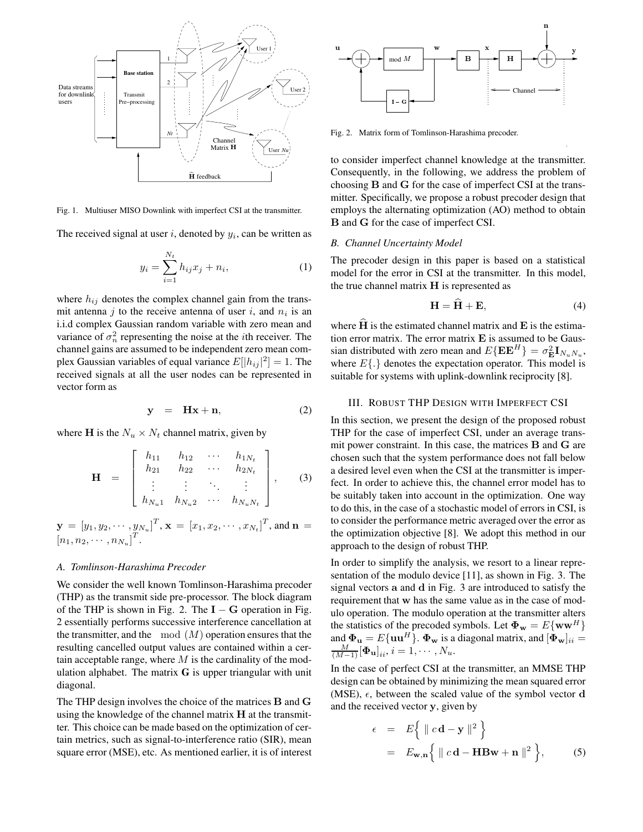

Fig. 1. Multiuser MISO Downlink with imperfect CSI at the transmitter.

The received signal at user  $i$ , denoted by  $y_i$ , can be written as

$$
y_i = \sum_{i=1}^{N_t} h_{ij} x_j + n_i,
$$
 (1)

where  $h_{ij}$  denotes the complex channel gain from the transmit antenna j to the receive antenna of user i, and  $n_i$  is an i.i.d complex Gaussian random variable with zero mean and variance of  $\sigma_n^2$  representing the noise at the *i*th receiver. The channel gains are assumed to be independent zero mean complex Gaussian variables of equal variance  $E[|h_{ij}|^2] = 1$ . The received signals at all the user nodes can be represented in vector form as

$$
y = Hx + n, \qquad (2)
$$

where **H** is the  $N_u \times N_t$  channel matrix, given by

$$
\mathbf{H} = \begin{bmatrix} h_{11} & h_{12} & \cdots & h_{1N_t} \\ h_{21} & h_{22} & \cdots & h_{2N_t} \\ \vdots & \vdots & \ddots & \vdots \\ h_{N_u1} & h_{N_u2} & \cdots & h_{N_uN_t} \end{bmatrix}, \quad (3)
$$

 $\mathbf{y}\,=\,\left[y_1,y_2,\cdots,y_{N_u}\right]^T\!,\mathbf{x}\,=\,\left[x_1,x_2,\cdots,x_{N_t}\right]^T\!,$  and  $\mathbf{n}\,=\,$  $[n_1, n_2, \cdots, n_{N_u}]^T$ .

# *A. Tomlinson-Harashima Precoder*

We consider the well known Tomlinson-Harashima precoder (THP) as the transmit side pre-processor. The block diagram of the THP is shown in Fig. 2. The  $I - G$  operation in Fig. 2 essentially performs successive interference cancellation at the transmitter, and the mod  $(M)$  operation ensures that the resulting cancelled output values are contained within a certain acceptable range, where  $M$  is the cardinality of the modulation alphabet. The matrix **G** is upper triangular with unit diagonal.

The THP design involves the choice of the matrices B and G using the knowledge of the channel matrix  $H$  at the transmitter. This choice can be made based on the optimization of certain metrics, such as signal-to-interference ratio (SIR), mean square error (MSE), etc. As mentioned earlier, it is of interest



Fig. 2. Matrix form of Tomlinson-Harashima precoder.

to consider imperfect channel knowledge at the transmitter. Consequently, in the following, we address the problem of choosing B and G for the case of imperfect CSI at the transmitter. Specifically, we propose a robust precoder design that employs the alternating optimization (AO) method to obtain B and G for the case of imperfect CSI.

#### *B. Channel Uncertainty Model*

The precoder design in this paper is based on a statistical model for the error in CSI at the transmitter. In this model, the true channel matrix H is represented as

$$
\mathbf{H} = \mathbf{H} + \mathbf{E},\tag{4}
$$

where  $H$  is the estimated channel matrix and  $E$  is the estimation error matrix. The error matrix  $E$  is assumed to be Gaussian distributed with zero mean and  $E\{\mathbf{E}\mathbf{E}^H\} = \sigma_{\mathbf{E}}^2 \mathbf{I}_{N_u N_u}$ , where  $E\{\cdot\}$  denotes the expectation operator. This model is suitable for systems with uplink-downlink reciprocity [8].

#### III. ROBUST THP DESIGN WITH IMPERFECT CSI

In this section, we present the design of the proposed robust THP for the case of imperfect CSI, under an average transmit power constraint. In this case, the matrices B and G are chosen such that the system performance does not fall below a desired level even when the CSI at the transmitter is imperfect. In order to achieve this, the channel error model has to be suitably taken into account in the optimization. One way to do this, in the case of a stochastic model of errors in CSI, is to consider the performance metric averaged over the error as the optimization objective [8]. We adopt this method in our approach to the design of robust THP.

In order to simplify the analysis, we resort to a linear representation of the modulo device [11], as shown in Fig. 3. The signal vectors a and d in Fig. 3 are introduced to satisfy the requirement that w has the same value as in the case of modulo operation. The modulo operation at the transmitter alters the statistics of the precoded symbols. Let  $\mathbf{\Phi_w} = E\{\mathbf{ww}^H\}$ and  $\mathbf{\Phi}_{\mathbf{u}} = E\{\mathbf{u}\mathbf{u}^H\}$ .  $\mathbf{\Phi}_{\mathbf{w}}$  is a diagonal matrix, and  $[\mathbf{\Phi}_{\mathbf{w}}]_{ii} = \frac{M}{(M-1)}[\mathbf{\Phi}_{\mathbf{u}}]_{ii}$ ,  $i = 1, \cdots, N_u$ .

In the case of perfect CSI at the transmitter, an MMSE THP design can be obtained by minimizing the mean squared error (MSE),  $\epsilon$ , between the scaled value of the symbol vector d and the received vector y, given by

$$
\epsilon = E\Big\{\parallel c\mathbf{d} - \mathbf{y}\parallel^2\Big\}
$$
  
=  $E_{\mathbf{w},\mathbf{n}}\Big\{\parallel c\mathbf{d} - \mathbf{H}\mathbf{B}\mathbf{w} + \mathbf{n}\parallel^2\Big\},$  (5)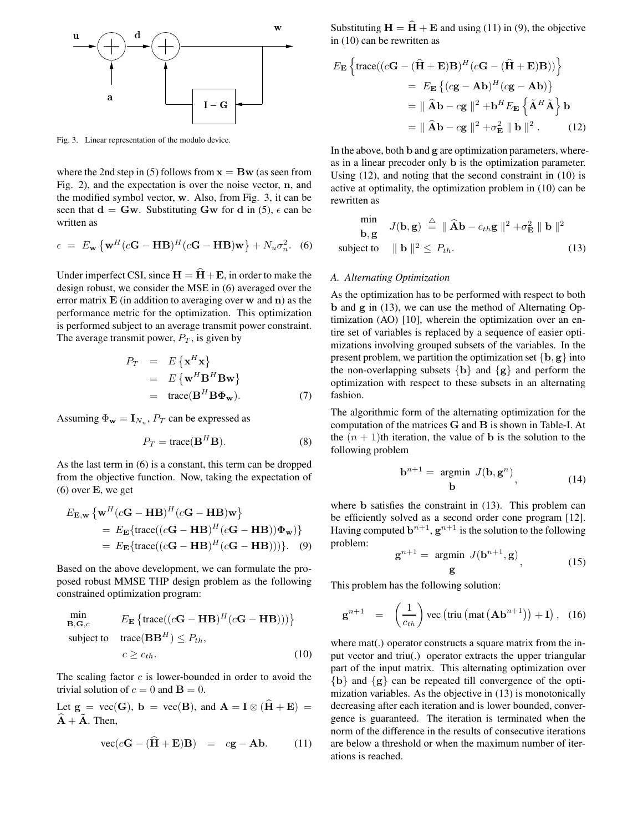

Fig. 3. Linear representation of the modulo device.

where the 2nd step in (5) follows from  $x = Bw$  (as seen from Fig. 2), and the expectation is over the noise vector, n, and the modified symbol vector, w. Also, from Fig. 3, it can be seen that  $d = Gw$ . Substituting Gw for d in (5),  $\epsilon$  can be written as

$$
\epsilon = E_{\mathbf{w}} \left\{ \mathbf{w}^H (c\mathbf{G} - \mathbf{H} \mathbf{B})^H (c\mathbf{G} - \mathbf{H} \mathbf{B}) \mathbf{w} \right\} + N_u \sigma_n^2.
$$
 (6)

Under imperfect CSI, since  $H = \hat{H} + E$ , in order to make the design robust, we consider the MSE in (6) averaged over the error matrix  $E$  (in addition to averaging over  $w$  and  $n$ ) as the performance metric for the optimization. This optimization is performed subject to an average transmit power constraint. The average transmit power,  $P_T$ , is given by

$$
P_T = E\{\mathbf{x}^H \mathbf{x}\}
$$
  
=  $E\{\mathbf{w}^H \mathbf{B}^H \mathbf{B} \mathbf{w}\}$   
=  $\text{trace}(\mathbf{B}^H \mathbf{B} \mathbf{\Phi}_{\mathbf{w}}).$  (7)

Assuming  $\Phi_{\mathbf{w}} = \mathbf{I}_{N_u}$ ,  $P_T$  can be expressed as

$$
P_T = \text{trace}(\mathbf{B}^H \mathbf{B}).\tag{8}
$$

As the last term in (6) is a constant, this term can be dropped from the objective function. Now, taking the expectation of  $(6)$  over **E**, we get

$$
E_{\mathbf{E},\mathbf{w}} \left\{ \mathbf{w}^H (c\mathbf{G} - \mathbf{H}\mathbf{B})^H (c\mathbf{G} - \mathbf{H}\mathbf{B}) \mathbf{w} \right\}
$$
  
=  $E_{\mathbf{E}} \{ \text{trace} ((c\mathbf{G} - \mathbf{H}\mathbf{B})^H (c\mathbf{G} - \mathbf{H}\mathbf{B})) \mathbf{\Phi}_{\mathbf{w}}) \}$   
=  $E_{\mathbf{E}} \{ \text{trace} ((c\mathbf{G} - \mathbf{H}\mathbf{B})^H (c\mathbf{G} - \mathbf{H}\mathbf{B}))) \}.$  (9)

Based on the above development, we can formulate the proposed robust MMSE THP design problem as the following constrained optimization program:

$$
\min_{\mathbf{B}, \mathbf{G}, c} \qquad E_{\mathbf{E}} \left\{ \text{trace}((c\mathbf{G} - \mathbf{H}\mathbf{B})^H (c\mathbf{G} - \mathbf{H}\mathbf{B}))) \right\}
$$
\n
$$
\text{subject to} \quad \text{trace}(\mathbf{B}\mathbf{B}^H) \le P_{th},
$$
\n
$$
c \ge c_{th}.
$$
\n(10)

The scaling factor  $c$  is lower-bounded in order to avoid the trivial solution of  $c = 0$  and  $\mathbf{B} = 0$ .

Let  $g = vec(G)$ ,  $b = vec(B)$ , and  $A = I \otimes (\widehat{H} + E) =$  $\tilde{A} + \tilde{A}$ . Then,

$$
\text{vec}(c\mathbf{G} - (\mathbf{H} + \mathbf{E})\mathbf{B}) = c\mathbf{g} - \mathbf{A}\mathbf{b}.
$$
 (11)

**w** Substituting  $H = H + E$  and using (11) in (9), the objective in (10) can be rewritten as

$$
E_{\mathbf{E}}\left\{\text{trace}((c\mathbf{G} - (\widehat{\mathbf{H}} + \mathbf{E})\mathbf{B})^{H}(c\mathbf{G} - (\widehat{\mathbf{H}} + \mathbf{E})\mathbf{B}))\right\}
$$
  
=  $E_{\mathbf{E}}\left\{ (c\mathbf{g} - \mathbf{A}\mathbf{b})^{H}(c\mathbf{g} - \mathbf{A}\mathbf{b})\right\}$   
=  $\|\widehat{\mathbf{A}}\mathbf{b} - c\mathbf{g}\|^{2} + \mathbf{b}^{H}E_{\mathbf{E}}\left\{\widetilde{\mathbf{A}}^{H}\widetilde{\mathbf{A}}\right\}\mathbf{b}$   
=  $\|\widehat{\mathbf{A}}\mathbf{b} - c\mathbf{g}\|^{2} + \sigma_{\mathbf{E}}^{2} \|\mathbf{b}\|^{2}$ . (12)

In the above, both b and g are optimization parameters, whereas in a linear precoder only b is the optimization parameter. Using (12), and noting that the second constraint in (10) is active at optimality, the optimization problem in (10) can be rewritten as

$$
\begin{array}{ll}\n\text{min} & J(\mathbf{b}, \mathbf{g}) \stackrel{\triangle}{=} \|\widehat{\mathbf{A}}\mathbf{b} - c_{th}\mathbf{g}\|^2 + \sigma_{\mathbf{E}}^2 \|\mathbf{b}\|^2 \\
\text{subject to} & \|\mathbf{b}\|^2 \le P_{th}.\n\end{array} \tag{13}
$$

#### *A. Alternating Optimization*

As the optimization has to be performed with respect to both b and g in (13), we can use the method of Alternating Optimization (AO) [10], wherein the optimization over an entire set of variables is replaced by a sequence of easier optimizations involving grouped subsets of the variables. In the present problem, we partition the optimization set  ${b, g}$  into the non-overlapping subsets  ${b}$  and  ${g}$  and perform the optimization with respect to these subsets in an alternating fashion.

The algorithmic form of the alternating optimization for the computation of the matrices G and B is shown in Table-I. At the  $(n + 1)$ th iteration, the value of **b** is the solution to the following problem

$$
\mathbf{b}^{n+1} = \underset{\mathbf{b}}{\text{argmin}} \ J(\mathbf{b}, \mathbf{g}^n), \tag{14}
$$

where b satisfies the constraint in (13). This problem can be efficiently solved as a second order cone program [12]. Having computed  $\mathbf{b}^{n+1}$ ,  $\mathbf{g}^{n+1}$  is the solution to the following problem:

$$
\mathbf{g}^{n+1} = \underset{\mathbf{g}}{\text{argmin}} \ J(\mathbf{b}^{n+1}, \mathbf{g}), \tag{15}
$$

This problem has the following solution:

$$
\mathbf{g}^{n+1} = \left(\frac{1}{c_{th}}\right) \text{vec}\left(\text{triu}\left(\text{mat}\left(\mathbf{Ab}^{n+1}\right)\right) + \mathbf{I}\right), \quad (16)
$$

where mat(.) operator constructs a square matrix from the input vector and triu(.) operator extracts the upper triangular part of the input matrix. This alternating optimization over {b} and {g} can be repeated till convergence of the optimization variables. As the objective in (13) is monotonically decreasing after each iteration and is lower bounded, convergence is guaranteed. The iteration is terminated when the norm of the difference in the results of consecutive iterations are below a threshold or when the maximum number of iterations is reached.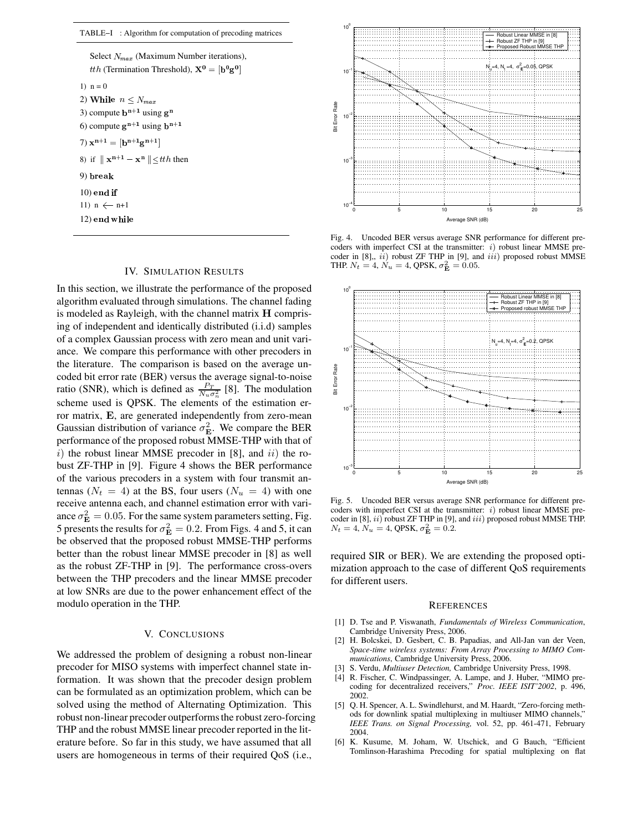TABLE−I : Algorithm for computation of precoding matrices

11)  $n \leftarrow n+1$ 1)  $n = 0$ 8) if  $\|\mathbf{x}^{n+1} - \mathbf{x}^{n}\| \leq t$ th then 9) 3) compute  $\mathbf{b}^{n+1}$  using  $\mathbf{g}^n$ 6) compute  $g^{n+1}$  using  $b^{n+1}$  $10$ ) end if  $(12)$  end while 7)  $x^{n+1} = [b^{n+1}g^{n+1}]$ 2) While  $n \leq N_{max}$ Select  $N_{max}$  (Maximum Number iterations), *tth* (Termination Threshold),  $X^0 = [b^0 g^0]$ 

## IV. SIMULATION RESULTS

In this section, we illustrate the performance of the proposed algorithm evaluated through simulations. The channel fading is modeled as Rayleigh, with the channel matrix H comprising of independent and identically distributed (i.i.d) samples of a complex Gaussian process with zero mean and unit variance. We compare this performance with other precoders in the literature. The comparison is based on the average uncoded bit error rate (BER) versus the average signal-to-noise ratio (SNR), which is defined as  $\frac{P_T}{N_u \sigma_n^2}$  [8]. The modulation scheme used is QPSK. The elements of the estimation error matrix, E, are generated independently from zero-mean Gaussian distribution of variance  $\sigma_{\mathbf{E}}^2$ . We compare the BER performance of the proposed robust MMSE-THP with that of  $i)$  the robust linear MMSE precoder in [8], and  $ii)$  the robust ZF-THP in [9]. Figure 4 shows the BER performance of the various precoders in a system with four transmit antennas ( $N_t = 4$ ) at the BS, four users ( $N_u = 4$ ) with one receive antenna each, and channel estimation error with variance  $\sigma_{\mathbf{E}}^2 = 0.05$ . For the same system parameters setting, Fig. 5 presents the results for  $\sigma_{\mathbf{E}}^2 = 0.2$ . From Figs. 4 and 5, it can be observed that the proposed robust MMSE-THP performs better than the robust linear MMSE precoder in [8] as well as the robust ZF-THP in [9]. The performance cross-overs between the THP precoders and the linear MMSE precoder at low SNRs are due to the power enhancement effect of the modulo operation in the THP.

#### V. CONCLUSIONS

We addressed the problem of designing a robust non-linear precoder for MISO systems with imperfect channel state information. It was shown that the precoder design problem can be formulated as an optimization problem, which can be solved using the method of Alternating Optimization. This robust non-linear precoder outperforms the robust zero-forcing THP and the robust MMSE linear precoder reported in the literature before. So far in this study, we have assumed that all users are homogeneous in terms of their required QoS (i.e.,



Fig. 4. Uncoded BER versus average SNR performance for different precoders with imperfect CSI at the transmitter:  $i)$  robust linear MMSE precoder in  $[8]$ ,,  $ii)$  robust ZF THP in  $[9]$ , and  $iii)$  proposed robust MMSE THP.  $N_t = 4$ ,  $N_u = 4$ , QPSK,  $\sigma_{\bf E}^2 = 0.05$ .



Fig. 5. Uncoded BER versus average SNR performance for different precoders with imperfect CSI at the transmitter:  $i)$  robust linear MMSE precoder in [8],  $ii)$  robust ZF THP in [9], and  $iii)$  proposed robust MMSE THP.  $N_t = 4, N_u = 4, \text{QPSK}, \sigma_{\rm E}^2 = 0.2.$ 

required SIR or BER). We are extending the proposed optimization approach to the case of different QoS requirements for different users.

#### **REFERENCES**

- [1] D. Tse and P. Viswanath, *Fundamentals of Wireless Communication*, Cambridge University Press, 2006.
- [2] H. Bolcskei, D. Gesbert, C. B. Papadias, and All-Jan van der Veen, *Space-time wireless systems: From Array Processing to MIMO Communications*, Cambridge University Press, 2006.
- [3] S. Verdu, *Multiuser Detection,* Cambridge University Press, 1998.
- [4] R. Fischer, C. Windpassinger, A. Lampe, and J. Huber, "MIMO precoding for decentralized receivers," *Proc. IEEE ISIT'2002*, p. 496, 2002.
- [5] Q. H. Spencer, A. L. Swindlehurst, and M. Haardt, "Zero-forcing methods for downlink spatial multiplexing in multiuser MIMO channels," *IEEE Trans. on Signal Processing,* vol. 52, pp. 461-471, February 2004.
- [6] K. Kusume, M. Joham, W. Utschick, and G Bauch, "Efficient Tomlinson-Harashima Precoding for spatial multiplexing on flat